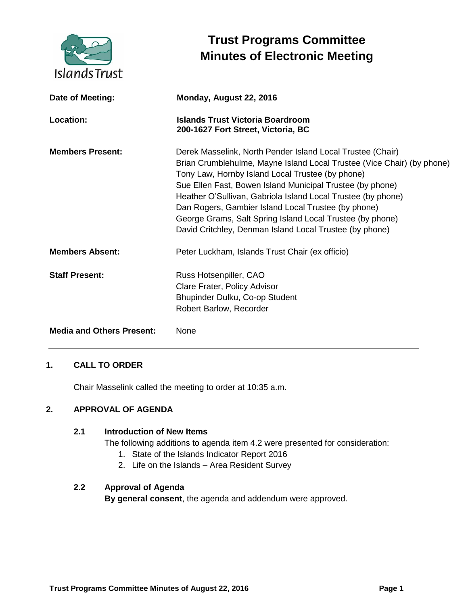

# **Trust Programs Committee Minutes of Electronic Meeting**

| Date of Meeting:                 | Monday, August 22, 2016                                                                                                                                                                                                                                                                                                                                                                                                                                                                              |
|----------------------------------|------------------------------------------------------------------------------------------------------------------------------------------------------------------------------------------------------------------------------------------------------------------------------------------------------------------------------------------------------------------------------------------------------------------------------------------------------------------------------------------------------|
| Location:                        | <b>Islands Trust Victoria Boardroom</b><br>200-1627 Fort Street, Victoria, BC                                                                                                                                                                                                                                                                                                                                                                                                                        |
| <b>Members Present:</b>          | Derek Masselink, North Pender Island Local Trustee (Chair)<br>Brian Crumblehulme, Mayne Island Local Trustee (Vice Chair) (by phone)<br>Tony Law, Hornby Island Local Trustee (by phone)<br>Sue Ellen Fast, Bowen Island Municipal Trustee (by phone)<br>Heather O'Sullivan, Gabriola Island Local Trustee (by phone)<br>Dan Rogers, Gambier Island Local Trustee (by phone)<br>George Grams, Salt Spring Island Local Trustee (by phone)<br>David Critchley, Denman Island Local Trustee (by phone) |
| <b>Members Absent:</b>           | Peter Luckham, Islands Trust Chair (ex officio)                                                                                                                                                                                                                                                                                                                                                                                                                                                      |
| <b>Staff Present:</b>            | Russ Hotsenpiller, CAO<br>Clare Frater, Policy Advisor<br>Bhupinder Dulku, Co-op Student<br>Robert Barlow, Recorder                                                                                                                                                                                                                                                                                                                                                                                  |
| <b>Media and Others Present:</b> | None                                                                                                                                                                                                                                                                                                                                                                                                                                                                                                 |

# **1. CALL TO ORDER**

Chair Masselink called the meeting to order at 10:35 a.m.

# **2. APPROVAL OF AGENDA**

## **2.1 Introduction of New Items**

The following additions to agenda item 4.2 were presented for consideration:

- 1. State of the Islands Indicator Report 2016
- 2. Life on the Islands Area Resident Survey

## **2.2 Approval of Agenda**

**By general consent**, the agenda and addendum were approved.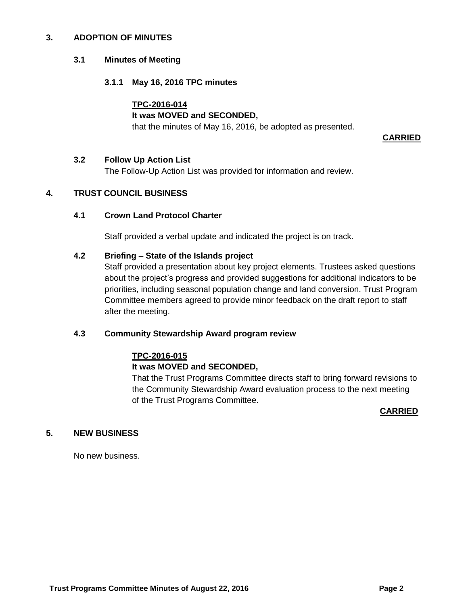#### **3. ADOPTION OF MINUTES**

#### **3.1 Minutes of Meeting**

## **3.1.1 May 16, 2016 TPC minutes**

## **TPC-2016-014**

## **It was MOVED and SECONDED,**

that the minutes of May 16, 2016, be adopted as presented.

**CARRIED**

#### **3.2 Follow Up Action List**

The Follow-Up Action List was provided for information and review.

# **4. TRUST COUNCIL BUSINESS**

## **4.1 Crown Land Protocol Charter**

Staff provided a verbal update and indicated the project is on track.

#### **4.2 Briefing – State of the Islands project**

Staff provided a presentation about key project elements. Trustees asked questions about the project's progress and provided suggestions for additional indicators to be priorities, including seasonal population change and land conversion. Trust Program Committee members agreed to provide minor feedback on the draft report to staff after the meeting.

#### **4.3 Community Stewardship Award program review**

# **TPC-2016-015 It was MOVED and SECONDED,**

That the Trust Programs Committee directs staff to bring forward revisions to the Community Stewardship Award evaluation process to the next meeting of the Trust Programs Committee.

**CARRIED**

# **5. NEW BUSINESS**

No new business.